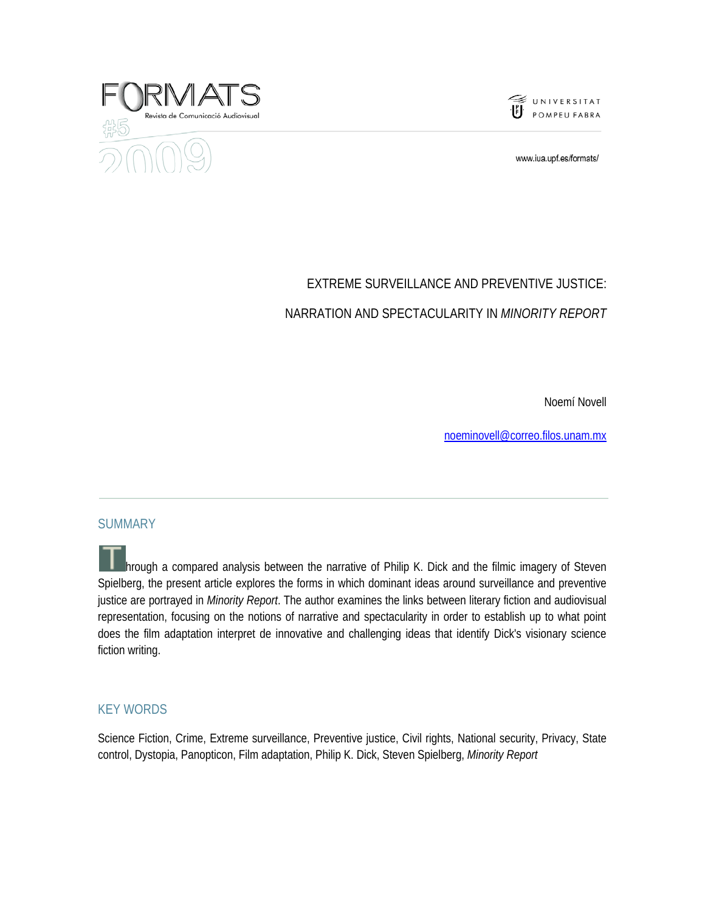



www.iua.upf.es/formats/

# EXTREME SURVEILLANCE AND PREVENTIVE JUSTICE: NARRATION AND SPECTACULARITY IN *MINORITY REPORT*

Noemí Novell

noeminovell@correo.filos.unam.mx

#### SUMMARY

hrough a compared analysis between the narrative of Philip K. Dick and the filmic imagery of Steven Spielberg, the present article explores the forms in which dominant ideas around surveillance and preventive justice are portrayed in *Minority Report*. The author examines the links between literary fiction and audiovisual representation, focusing on the notions of narrative and spectacularity in order to establish up to what point does the film adaptation interpret de innovative and challenging ideas that identify Dick's visionary science fiction writing.

#### KEY WORDS

Science Fiction, Crime, Extreme surveillance, Preventive justice, Civil rights, National security, Privacy, State control, Dystopia, Panopticon, Film adaptation, Philip K. Dick, Steven Spielberg, *Minority Report*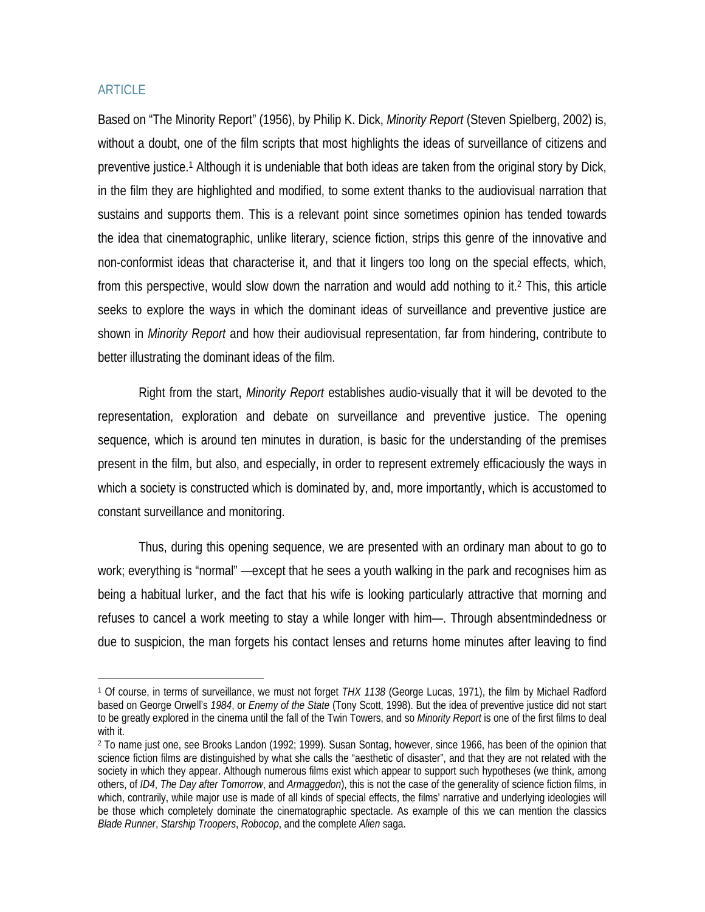### ARTICLE

Based on "The Minority Report" (1956), by Philip K. Dick, *Minority Report* (Steven Spielberg, 2002) is, without a doubt, one of the film scripts that most highlights the ideas of surveillance of citizens and preventive justice.1 Although it is undeniable that both ideas are taken from the original story by Dick, in the film they are highlighted and modified, to some extent thanks to the audiovisual narration that sustains and supports them. This is a relevant point since sometimes opinion has tended towards the idea that cinematographic, unlike literary, science fiction, strips this genre of the innovative and non-conformist ideas that characterise it, and that it lingers too long on the special effects, which, from this perspective, would slow down the narration and would add nothing to it.2 This, this article seeks to explore the ways in which the dominant ideas of surveillance and preventive justice are shown in *Minority Report* and how their audiovisual representation, far from hindering, contribute to better illustrating the dominant ideas of the film.

Right from the start, *Minority Report* establishes audio-visually that it will be devoted to the representation, exploration and debate on surveillance and preventive justice. The opening sequence, which is around ten minutes in duration, is basic for the understanding of the premises present in the film, but also, and especially, in order to represent extremely efficaciously the ways in which a society is constructed which is dominated by, and, more importantly, which is accustomed to constant surveillance and monitoring.

Thus, during this opening sequence, we are presented with an ordinary man about to go to work; everything is "normal" —except that he sees a youth walking in the park and recognises him as being a habitual lurker, and the fact that his wife is looking particularly attractive that morning and refuses to cancel a work meeting to stay a while longer with him—. Through absentmindedness or due to suspicion, the man forgets his contact lenses and returns home minutes after leaving to find

<sup>1</sup> Of course, in terms of surveillance, we must not forget *THX 1138* (George Lucas, 1971), the film by Michael Radford based on George Orwell's *1984*, or *Enemy of the State* (Tony Scott, 1998). But the idea of preventive justice did not start to be greatly explored in the cinema until the fall of the Twin Towers, and so *Minority Report* is one of the first films to deal with it.

<sup>2</sup> To name just one, see Brooks Landon (1992; 1999). Susan Sontag, however, since 1966, has been of the opinion that science fiction films are distinguished by what she calls the "aesthetic of disaster", and that they are not related with the society in which they appear. Although numerous films exist which appear to support such hypotheses (we think, among others, of *ID4*, *The Day after Tomorrow*, and *Armaggedon*), this is not the case of the generality of science fiction films, in which, contrarily, while major use is made of all kinds of special effects, the films' narrative and underlying ideologies will be those which completely dominate the cinematographic spectacle. As example of this we can mention the classics *Blade Runner*, *Starship Troopers*, *Robocop*, and the complete *Alien* saga.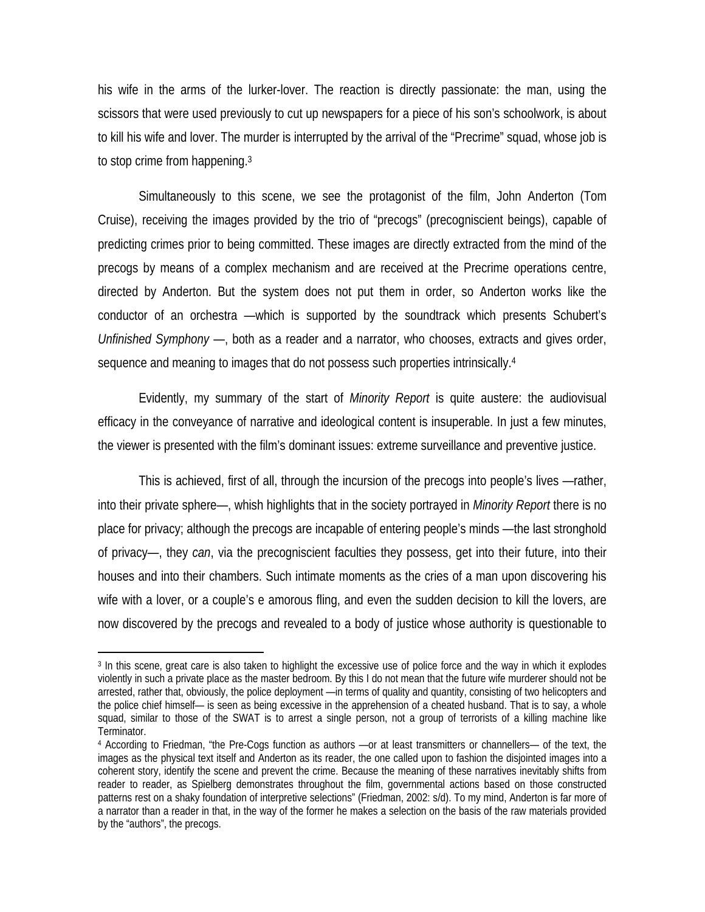his wife in the arms of the lurker-lover. The reaction is directly passionate: the man, using the scissors that were used previously to cut up newspapers for a piece of his son's schoolwork, is about to kill his wife and lover. The murder is interrupted by the arrival of the "Precrime" squad, whose job is to stop crime from happening.3

Simultaneously to this scene, we see the protagonist of the film, John Anderton (Tom Cruise), receiving the images provided by the trio of "precogs" (precogniscient beings), capable of predicting crimes prior to being committed. These images are directly extracted from the mind of the precogs by means of a complex mechanism and are received at the Precrime operations centre, directed by Anderton. But the system does not put them in order, so Anderton works like the conductor of an orchestra —which is supported by the soundtrack which presents Schubert's *Unfinished Symphony* —, both as a reader and a narrator, who chooses, extracts and gives order, sequence and meaning to images that do not possess such properties intrinsically.4

Evidently, my summary of the start of *Minority Report* is quite austere: the audiovisual efficacy in the conveyance of narrative and ideological content is insuperable. In just a few minutes, the viewer is presented with the film's dominant issues: extreme surveillance and preventive justice.

This is achieved, first of all, through the incursion of the precogs into people's lives —rather, into their private sphere—, whish highlights that in the society portrayed in *Minority Report* there is no place for privacy; although the precogs are incapable of entering people's minds —the last stronghold of privacy—, they *can*, via the precogniscient faculties they possess, get into their future, into their houses and into their chambers. Such intimate moments as the cries of a man upon discovering his wife with a lover, or a couple's e amorous fling, and even the sudden decision to kill the lovers, are now discovered by the precogs and revealed to a body of justice whose authority is questionable to

<sup>3</sup> In this scene, great care is also taken to highlight the excessive use of police force and the way in which it explodes violently in such a private place as the master bedroom. By this I do not mean that the future wife murderer should not be arrested, rather that, obviously, the police deployment —in terms of quality and quantity, consisting of two helicopters and the police chief himself— is seen as being excessive in the apprehension of a cheated husband. That is to say, a whole squad, similar to those of the SWAT is to arrest a single person, not a group of terrorists of a killing machine like Terminator.

<sup>4</sup> According to Friedman, "the Pre-Cogs function as authors —or at least transmitters or channellers— of the text, the images as the physical text itself and Anderton as its reader, the one called upon to fashion the disjointed images into a coherent story, identify the scene and prevent the crime. Because the meaning of these narratives inevitably shifts from reader to reader, as Spielberg demonstrates throughout the film, governmental actions based on those constructed patterns rest on a shaky foundation of interpretive selections" (Friedman, 2002: s/d). To my mind, Anderton is far more of a narrator than a reader in that, in the way of the former he makes a selection on the basis of the raw materials provided by the "authors", the precogs.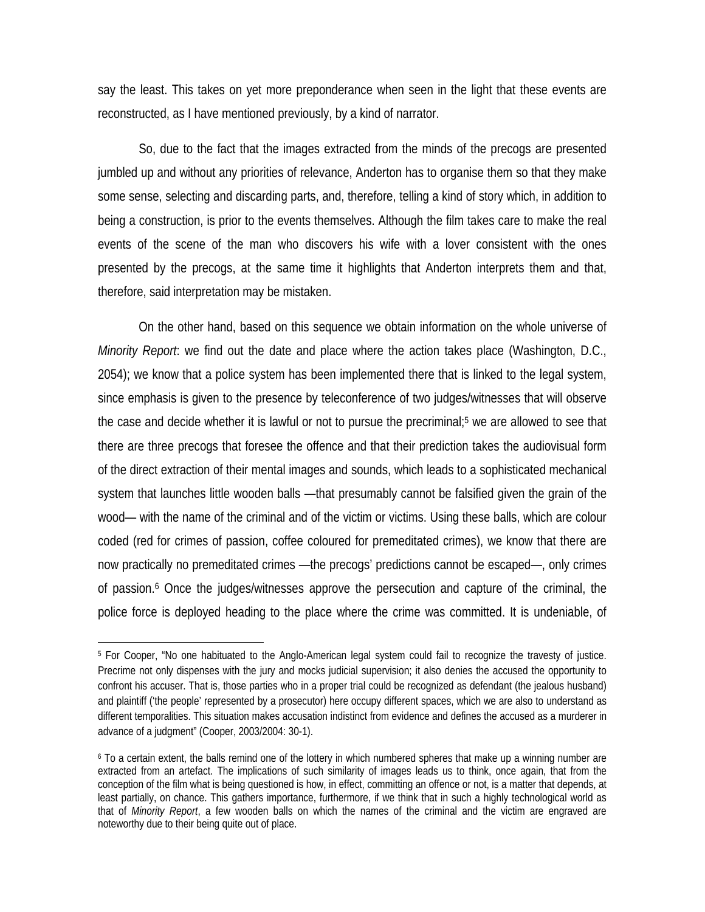say the least. This takes on yet more preponderance when seen in the light that these events are reconstructed, as I have mentioned previously, by a kind of narrator.

So, due to the fact that the images extracted from the minds of the precogs are presented jumbled up and without any priorities of relevance, Anderton has to organise them so that they make some sense, selecting and discarding parts, and, therefore, telling a kind of story which, in addition to being a construction, is prior to the events themselves. Although the film takes care to make the real events of the scene of the man who discovers his wife with a lover consistent with the ones presented by the precogs, at the same time it highlights that Anderton interprets them and that, therefore, said interpretation may be mistaken.

On the other hand, based on this sequence we obtain information on the whole universe of *Minority Report*: we find out the date and place where the action takes place (Washington, D.C., 2054); we know that a police system has been implemented there that is linked to the legal system, since emphasis is given to the presence by teleconference of two judges/witnesses that will observe the case and decide whether it is lawful or not to pursue the precriminal;5 we are allowed to see that there are three precogs that foresee the offence and that their prediction takes the audiovisual form of the direct extraction of their mental images and sounds, which leads to a sophisticated mechanical system that launches little wooden balls —that presumably cannot be falsified given the grain of the wood— with the name of the criminal and of the victim or victims. Using these balls, which are colour coded (red for crimes of passion, coffee coloured for premeditated crimes), we know that there are now practically no premeditated crimes —the precogs' predictions cannot be escaped—, only crimes of passion.<sup>6</sup> Once the judges/witnesses approve the persecution and capture of the criminal, the police force is deployed heading to the place where the crime was committed. It is undeniable, of

<sup>5</sup> For Cooper, "No one habituated to the Anglo-American legal system could fail to recognize the travesty of justice. Precrime not only dispenses with the jury and mocks judicial supervision; it also denies the accused the opportunity to confront his accuser. That is, those parties who in a proper trial could be recognized as defendant (the jealous husband) and plaintiff ('the people' represented by a prosecutor) here occupy different spaces, which we are also to understand as different temporalities. This situation makes accusation indistinct from evidence and defines the accused as a murderer in advance of a judgment" (Cooper, 2003/2004: 30-1).

<sup>6</sup> To a certain extent, the balls remind one of the lottery in which numbered spheres that make up a winning number are extracted from an artefact. The implications of such similarity of images leads us to think, once again, that from the conception of the film what is being questioned is how, in effect, committing an offence or not, is a matter that depends, at least partially, on chance. This gathers importance, furthermore, if we think that in such a highly technological world as that of *Minority Report*, a few wooden balls on which the names of the criminal and the victim are engraved are noteworthy due to their being quite out of place.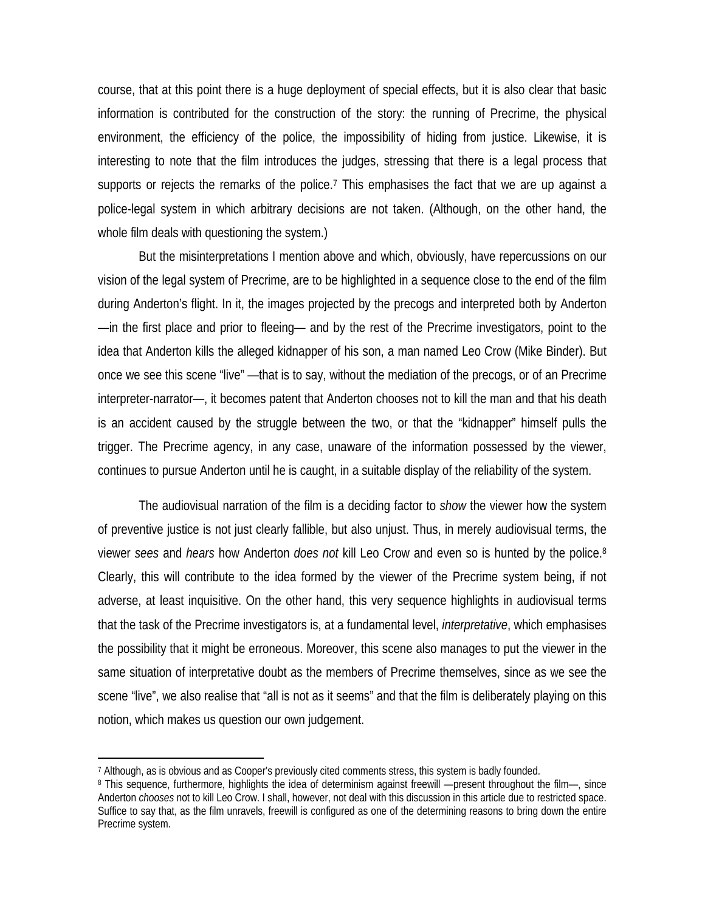course, that at this point there is a huge deployment of special effects, but it is also clear that basic information is contributed for the construction of the story: the running of Precrime, the physical environment, the efficiency of the police, the impossibility of hiding from justice. Likewise, it is interesting to note that the film introduces the judges, stressing that there is a legal process that supports or rejects the remarks of the police.7 This emphasises the fact that we are up against a police-legal system in which arbitrary decisions are not taken. (Although, on the other hand, the whole film deals with questioning the system.)

But the misinterpretations I mention above and which, obviously, have repercussions on our vision of the legal system of Precrime, are to be highlighted in a sequence close to the end of the film during Anderton's flight. In it, the images projected by the precogs and interpreted both by Anderton —in the first place and prior to fleeing— and by the rest of the Precrime investigators, point to the idea that Anderton kills the alleged kidnapper of his son, a man named Leo Crow (Mike Binder). But once we see this scene "live" —that is to say, without the mediation of the precogs, or of an Precrime interpreter-narrator—, it becomes patent that Anderton chooses not to kill the man and that his death is an accident caused by the struggle between the two, or that the "kidnapper" himself pulls the trigger. The Precrime agency, in any case, unaware of the information possessed by the viewer, continues to pursue Anderton until he is caught, in a suitable display of the reliability of the system.

The audiovisual narration of the film is a deciding factor to *show* the viewer how the system of preventive justice is not just clearly fallible, but also unjust. Thus, in merely audiovisual terms, the viewer *sees* and *hears* how Anderton *does not* kill Leo Crow and even so is hunted by the police.8 Clearly, this will contribute to the idea formed by the viewer of the Precrime system being, if not adverse, at least inquisitive. On the other hand, this very sequence highlights in audiovisual terms that the task of the Precrime investigators is, at a fundamental level, *interpretative*, which emphasises the possibility that it might be erroneous. Moreover, this scene also manages to put the viewer in the same situation of interpretative doubt as the members of Precrime themselves, since as we see the scene "live", we also realise that "all is not as it seems" and that the film is deliberately playing on this notion, which makes us question our own judgement.

<sup>7</sup> Although, as is obvious and as Cooper's previously cited comments stress, this system is badly founded.

<sup>8</sup> This sequence, furthermore, highlights the idea of determinism against freewill —present throughout the film—, since Anderton *chooses* not to kill Leo Crow. I shall, however, not deal with this discussion in this article due to restricted space. Suffice to say that, as the film unravels, freewill is configured as one of the determining reasons to bring down the entire Precrime system.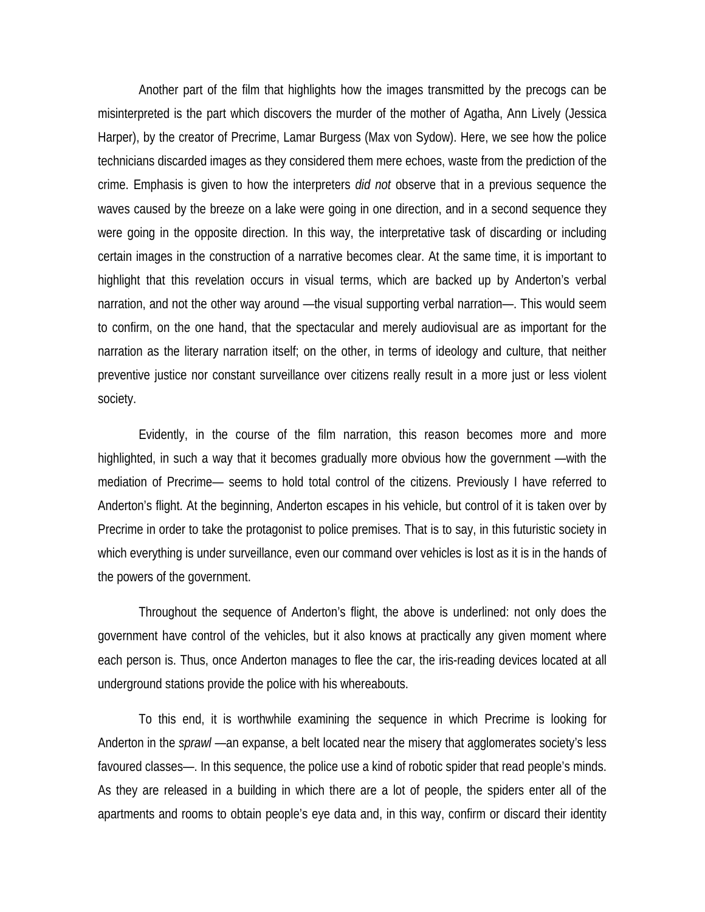Another part of the film that highlights how the images transmitted by the precogs can be misinterpreted is the part which discovers the murder of the mother of Agatha, Ann Lively (Jessica Harper), by the creator of Precrime, Lamar Burgess (Max von Sydow). Here, we see how the police technicians discarded images as they considered them mere echoes, waste from the prediction of the crime. Emphasis is given to how the interpreters *did not* observe that in a previous sequence the waves caused by the breeze on a lake were going in one direction, and in a second sequence they were going in the opposite direction. In this way, the interpretative task of discarding or including certain images in the construction of a narrative becomes clear. At the same time, it is important to highlight that this revelation occurs in visual terms, which are backed up by Anderton's verbal narration, and not the other way around —the visual supporting verbal narration—. This would seem to confirm, on the one hand, that the spectacular and merely audiovisual are as important for the narration as the literary narration itself; on the other, in terms of ideology and culture, that neither preventive justice nor constant surveillance over citizens really result in a more just or less violent society.

Evidently, in the course of the film narration, this reason becomes more and more highlighted, in such a way that it becomes gradually more obvious how the government —with the mediation of Precrime— seems to hold total control of the citizens. Previously I have referred to Anderton's flight. At the beginning, Anderton escapes in his vehicle, but control of it is taken over by Precrime in order to take the protagonist to police premises. That is to say, in this futuristic society in which everything is under surveillance, even our command over vehicles is lost as it is in the hands of the powers of the government.

Throughout the sequence of Anderton's flight, the above is underlined: not only does the government have control of the vehicles, but it also knows at practically any given moment where each person is. Thus, once Anderton manages to flee the car, the iris-reading devices located at all underground stations provide the police with his whereabouts.

To this end, it is worthwhile examining the sequence in which Precrime is looking for Anderton in the *sprawl* —an expanse, a belt located near the misery that agglomerates society's less favoured classes—. In this sequence, the police use a kind of robotic spider that read people's minds. As they are released in a building in which there are a lot of people, the spiders enter all of the apartments and rooms to obtain people's eye data and, in this way, confirm or discard their identity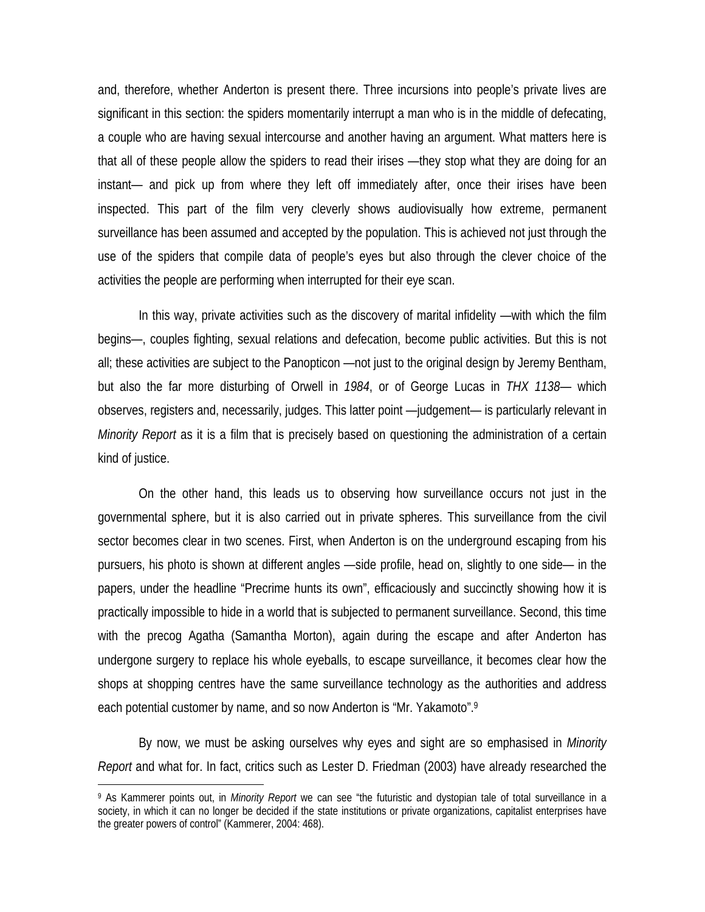and, therefore, whether Anderton is present there. Three incursions into people's private lives are significant in this section: the spiders momentarily interrupt a man who is in the middle of defecating, a couple who are having sexual intercourse and another having an argument. What matters here is that all of these people allow the spiders to read their irises —they stop what they are doing for an instant— and pick up from where they left off immediately after, once their irises have been inspected. This part of the film very cleverly shows audiovisually how extreme, permanent surveillance has been assumed and accepted by the population. This is achieved not just through the use of the spiders that compile data of people's eyes but also through the clever choice of the activities the people are performing when interrupted for their eye scan.

In this way, private activities such as the discovery of marital infidelity —with which the film begins—, couples fighting, sexual relations and defecation, become public activities. But this is not all; these activities are subject to the Panopticon —not just to the original design by Jeremy Bentham, but also the far more disturbing of Orwell in *1984*, or of George Lucas in *THX 1138*— which observes, registers and, necessarily, judges. This latter point —judgement— is particularly relevant in *Minority Report* as it is a film that is precisely based on questioning the administration of a certain kind of justice.

On the other hand, this leads us to observing how surveillance occurs not just in the governmental sphere, but it is also carried out in private spheres. This surveillance from the civil sector becomes clear in two scenes. First, when Anderton is on the underground escaping from his pursuers, his photo is shown at different angles —side profile, head on, slightly to one side— in the papers, under the headline "Precrime hunts its own", efficaciously and succinctly showing how it is practically impossible to hide in a world that is subjected to permanent surveillance. Second, this time with the precog Agatha (Samantha Morton), again during the escape and after Anderton has undergone surgery to replace his whole eyeballs, to escape surveillance, it becomes clear how the shops at shopping centres have the same surveillance technology as the authorities and address each potential customer by name, and so now Anderton is "Mr. Yakamoto".9

By now, we must be asking ourselves why eyes and sight are so emphasised in *Minority Report* and what for. In fact, critics such as Lester D. Friedman (2003) have already researched the

<sup>9</sup> As Kammerer points out, in *Minority Report* we can see "the futuristic and dystopian tale of total surveillance in a society, in which it can no longer be decided if the state institutions or private organizations, capitalist enterprises have the greater powers of control" (Kammerer, 2004: 468).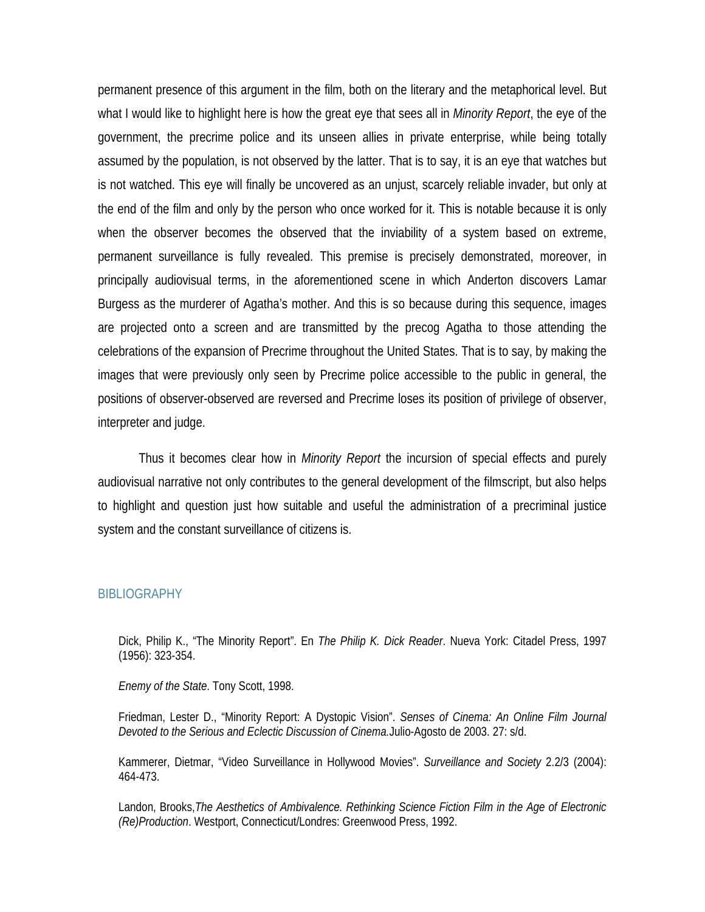permanent presence of this argument in the film, both on the literary and the metaphorical level. But what I would like to highlight here is how the great eye that sees all in *Minority Report*, the eye of the government, the precrime police and its unseen allies in private enterprise, while being totally assumed by the population, is not observed by the latter. That is to say, it is an eye that watches but is not watched. This eye will finally be uncovered as an unjust, scarcely reliable invader, but only at the end of the film and only by the person who once worked for it. This is notable because it is only when the observer becomes the observed that the inviability of a system based on extreme, permanent surveillance is fully revealed. This premise is precisely demonstrated, moreover, in principally audiovisual terms, in the aforementioned scene in which Anderton discovers Lamar Burgess as the murderer of Agatha's mother. And this is so because during this sequence, images are projected onto a screen and are transmitted by the precog Agatha to those attending the celebrations of the expansion of Precrime throughout the United States. That is to say, by making the images that were previously only seen by Precrime police accessible to the public in general, the positions of observer-observed are reversed and Precrime loses its position of privilege of observer, interpreter and judge.

Thus it becomes clear how in *Minority Report* the incursion of special effects and purely audiovisual narrative not only contributes to the general development of the filmscript, but also helps to highlight and question just how suitable and useful the administration of a precriminal justice system and the constant surveillance of citizens is.

#### **BIBLIOGRAPHY**

Dick, Philip K., "The Minority Report". En *The Philip K. Dick Reader*. Nueva York: Citadel Press, 1997 (1956): 323-354.

*Enemy of the State*. Tony Scott, 1998.

Friedman, Lester D., "Minority Report: A Dystopic Vision". *Senses of Cinema: An Online Film Journal Devoted to the Serious and Eclectic Discussion of Cinema.*Julio-Agosto de 2003. 27: s/d.

Kammerer, Dietmar, "Video Surveillance in Hollywood Movies". *Surveillance and Society* 2.2/3 (2004): 464-473.

Landon, Brooks,*The Aesthetics of Ambivalence. Rethinking Science Fiction Film in the Age of Electronic (Re)Production*. Westport, Connecticut/Londres: Greenwood Press, 1992.